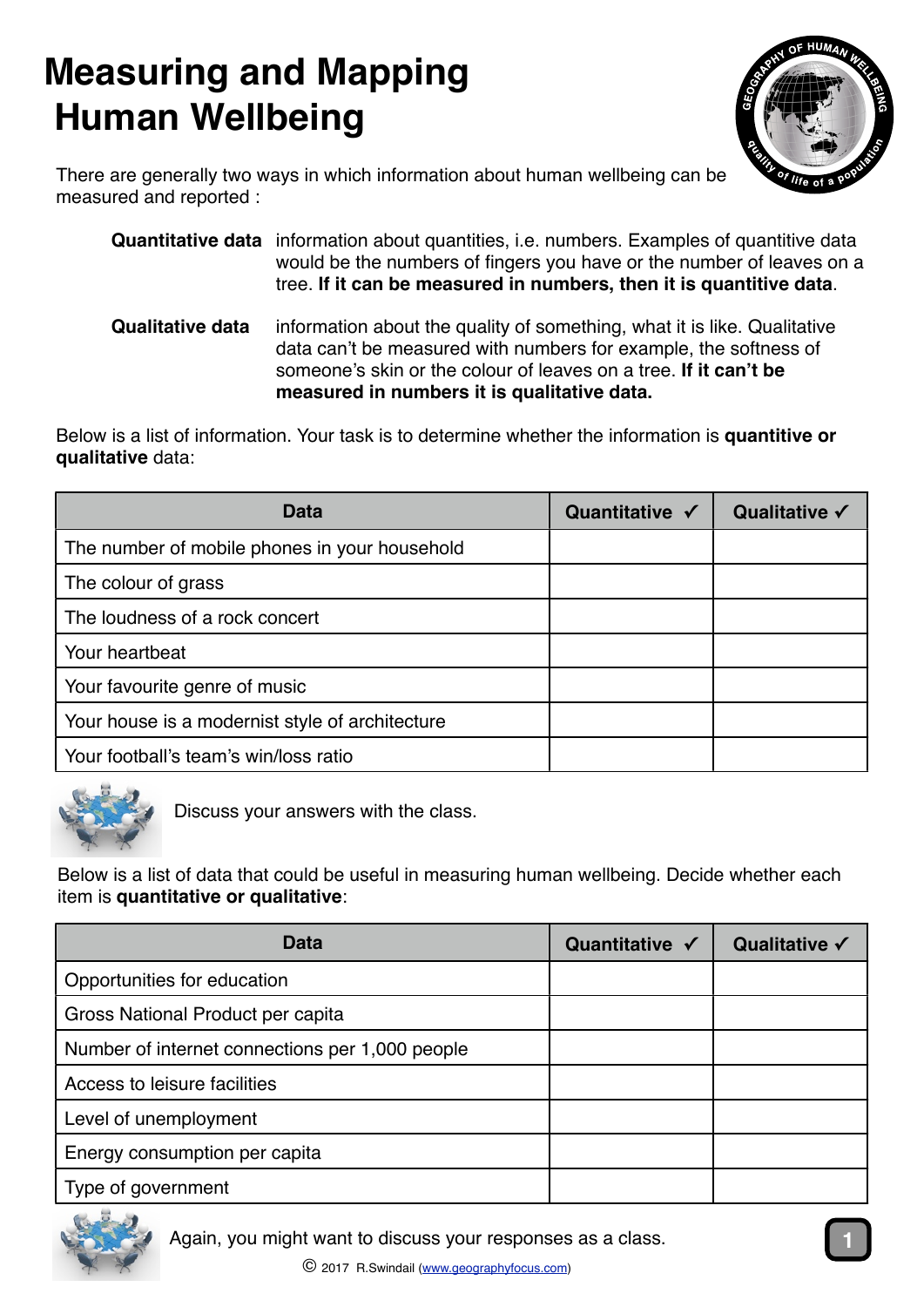## **Measuring and Mapping Human Wellbeing**



There are generally two ways in which information about human wellbeing can be measured and reported :

|                         | <b>Quantitative data</b> information about quantities, i.e. numbers. Examples of quantitive data<br>would be the numbers of fingers you have or the number of leaves on a<br>tree. If it can be measured in numbers, then it is quantitive data.                |
|-------------------------|-----------------------------------------------------------------------------------------------------------------------------------------------------------------------------------------------------------------------------------------------------------------|
| <b>Qualitative data</b> | information about the quality of something, what it is like. Qualitative<br>data can't be measured with numbers for example, the softness of<br>someone's skin or the colour of leaves on a tree. If it can't be<br>measured in numbers it is qualitative data. |

Below is a list of information. Your task is to determine whether the information is **quantitive or qualitative** data:

| Data                                            | Quantitative √ | Qualitative $\checkmark$ |
|-------------------------------------------------|----------------|--------------------------|
| The number of mobile phones in your household   |                |                          |
| The colour of grass                             |                |                          |
| The loudness of a rock concert                  |                |                          |
| Your heartbeat                                  |                |                          |
| Your favourite genre of music                   |                |                          |
| Your house is a modernist style of architecture |                |                          |
| Your football's team's win/loss ratio           |                |                          |



Discuss your answers with the class.

Below is a list of data that could be useful in measuring human wellbeing. Decide whether each item is **quantitative or qualitative**:

| <b>Data</b>                                     | Quantitative √ | Qualitative √ |
|-------------------------------------------------|----------------|---------------|
| Opportunities for education                     |                |               |
| Gross National Product per capita               |                |               |
| Number of internet connections per 1,000 people |                |               |
| Access to leisure facilities                    |                |               |
| Level of unemployment                           |                |               |
| Energy consumption per capita                   |                |               |
| Type of government                              |                |               |



Again, you might want to discuss your responses as a class.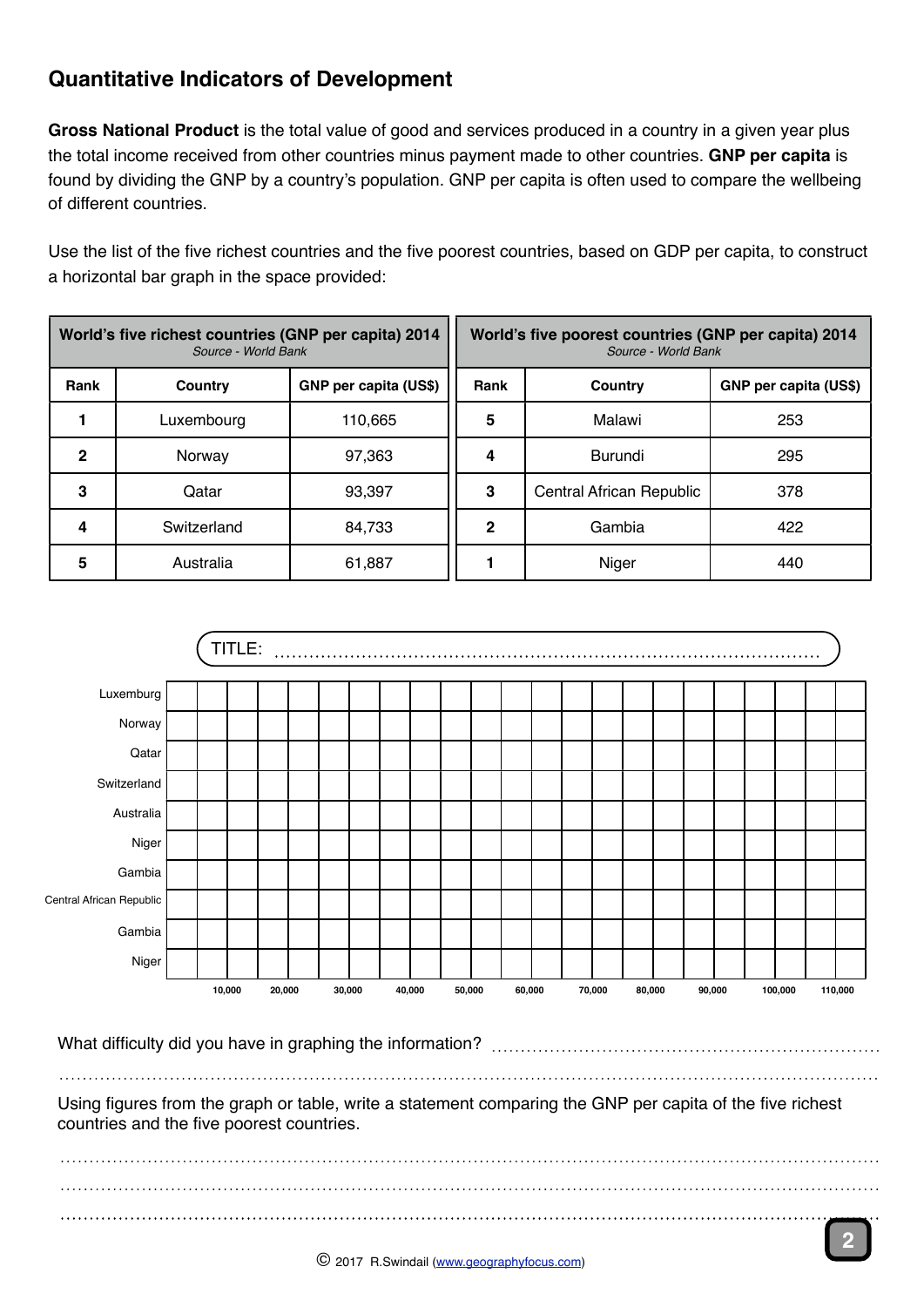## **Quantitative Indicators of Development**

**Gross National Product** is the total value of good and services produced in a country in a given year plus the total income received from other countries minus payment made to other countries. **GNP per capita** is found by dividing the GNP by a country's population. GNP per capita is often used to compare the wellbeing of different countries.

Use the list of the five richest countries and the five poorest countries, based on GDP per capita, to construct a horizontal bar graph in the space provided:

| World's five richest countries (GNP per capita) 2014<br>Source - World Bank |             | World's five poorest countries (GNP per capita) 2014<br>Source - World Bank |      |                          |                       |
|-----------------------------------------------------------------------------|-------------|-----------------------------------------------------------------------------|------|--------------------------|-----------------------|
| Rank                                                                        | Country     | GNP per capita (US\$)                                                       | Rank | Country                  | GNP per capita (US\$) |
|                                                                             | Luxembourg  | 110,665                                                                     | 5    | Malawi                   | 253                   |
| $\mathbf{2}$                                                                | Norway      | 97,363                                                                      | 4    | Burundi                  | 295                   |
| 3                                                                           | Qatar       | 93.397                                                                      | 3    | Central African Republic | 378                   |
| 4                                                                           | Switzerland | 84,733                                                                      | 2    | Gambia                   | 422                   |
| 5                                                                           | Australia   | 61,887                                                                      |      | Niger                    | 440                   |